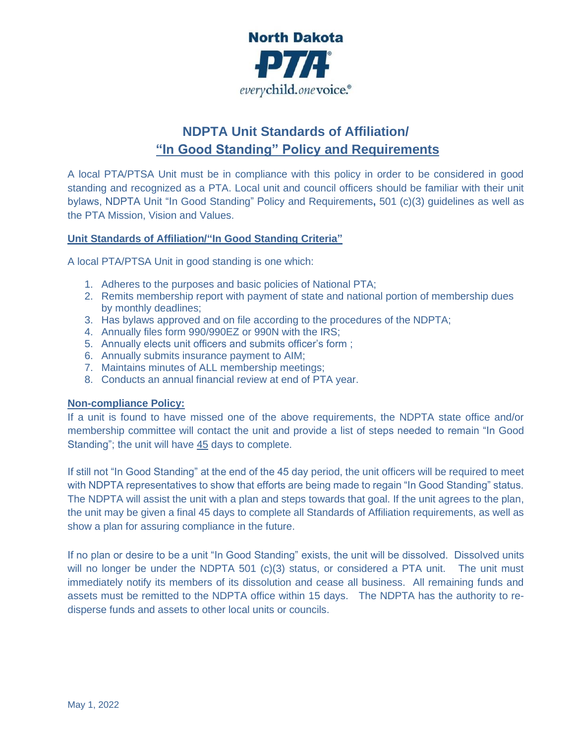

# **NDPTA Unit Standards of Affiliation/ "In Good Standing" Policy and Requirements**

A local PTA/PTSA Unit must be in compliance with this policy in order to be considered in good standing and recognized as a PTA. Local unit and council officers should be familiar with their unit bylaws, NDPTA Unit "In Good Standing" Policy and Requirements**,** 501 (c)(3) guidelines as well as the PTA Mission, Vision and Values.

#### **Unit Standards of Affiliation/"In Good Standing Criteria"**

A local PTA/PTSA Unit in good standing is one which:

- 1. Adheres to the purposes and basic policies of National PTA;
- 2. Remits membership report with payment of state and national portion of membership dues by monthly deadlines;
- 3. Has bylaws approved and on file according to the procedures of the NDPTA;
- 4. Annually files form 990/990EZ or 990N with the IRS;
- 5. Annually elects unit officers and submits officer's form ;
- 6. Annually submits insurance payment to AIM;
- 7. Maintains minutes of ALL membership meetings;
- 8. Conducts an annual financial review at end of PTA year.

#### **Non-compliance Policy:**

If a unit is found to have missed one of the above requirements, the NDPTA state office and/or membership committee will contact the unit and provide a list of steps needed to remain "In Good Standing"; the unit will have 45 days to complete.

If still not "In Good Standing" at the end of the 45 day period, the unit officers will be required to meet with NDPTA representatives to show that efforts are being made to regain "In Good Standing" status. The NDPTA will assist the unit with a plan and steps towards that goal. If the unit agrees to the plan, the unit may be given a final 45 days to complete all Standards of Affiliation requirements, as well as show a plan for assuring compliance in the future.

If no plan or desire to be a unit "In Good Standing" exists, the unit will be dissolved. Dissolved units will no longer be under the NDPTA 501 (c)(3) status, or considered a PTA unit. The unit must immediately notify its members of its dissolution and cease all business. All remaining funds and assets must be remitted to the NDPTA office within 15 days. The NDPTA has the authority to redisperse funds and assets to other local units or councils.